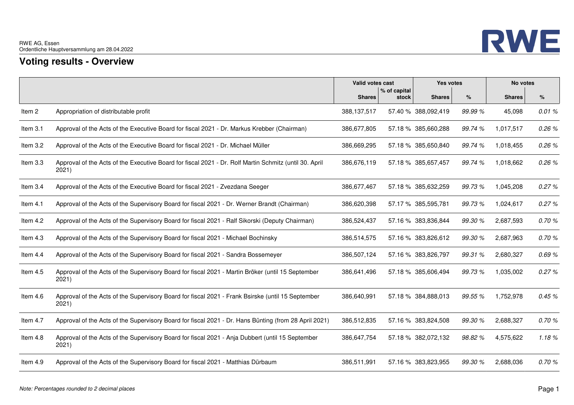

## **Voting results - Overview**

|            |                                                                                                                 | Valid votes cast |                       | Yes votes           |         | No votes      |       |
|------------|-----------------------------------------------------------------------------------------------------------------|------------------|-----------------------|---------------------|---------|---------------|-------|
|            |                                                                                                                 | <b>Shares</b>    | % of capital<br>stock | <b>Shares</b>       | %       | <b>Shares</b> | $\%$  |
| Item 2     | Appropriation of distributable profit                                                                           | 388,137,517      |                       | 57.40 % 388,092,419 | 99.99 % | 45,098        | 0.01% |
| Item 3.1   | Approval of the Acts of the Executive Board for fiscal 2021 - Dr. Markus Krebber (Chairman)                     | 386,677,805      |                       | 57.18 % 385,660,288 | 99.74 % | 1,017,517     | 0.26% |
| Item 3.2   | Approval of the Acts of the Executive Board for fiscal 2021 - Dr. Michael Müller                                | 386,669,295      |                       | 57.18 % 385,650,840 | 99.74 % | 1,018,455     | 0.26% |
| Item 3.3   | Approval of the Acts of the Executive Board for fiscal 2021 - Dr. Rolf Martin Schmitz (until 30. April<br>2021) | 386,676,119      |                       | 57.18 % 385,657,457 | 99.74 % | 1,018,662     | 0.26% |
| Item 3.4   | Approval of the Acts of the Executive Board for fiscal 2021 - Zvezdana Seeger                                   | 386,677,467      |                       | 57.18 % 385,632,259 | 99.73 % | 1,045,208     | 0.27% |
| Item 4.1   | Approval of the Acts of the Supervisory Board for fiscal 2021 - Dr. Werner Brandt (Chairman)                    | 386,620,398      |                       | 57.17 % 385,595,781 | 99.73 % | 1,024,617     | 0.27% |
| Item 4.2   | Approval of the Acts of the Supervisory Board for fiscal 2021 - Ralf Sikorski (Deputy Chairman)                 | 386,524,437      |                       | 57.16 % 383,836,844 | 99.30 % | 2,687,593     | 0.70% |
| Item 4.3   | Approval of the Acts of the Supervisory Board for fiscal 2021 - Michael Bochinsky                               | 386,514,575      |                       | 57.16 % 383,826,612 | 99.30 % | 2,687,963     | 0.70% |
| Item $4.4$ | Approval of the Acts of the Supervisory Board for fiscal 2021 - Sandra Bossemeyer                               | 386,507,124      |                       | 57.16 % 383,826,797 | 99.31 % | 2,680,327     | 0.69% |
| Item 4.5   | Approval of the Acts of the Supervisory Board for fiscal 2021 - Martin Bröker (until 15 September<br>2021)      | 386,641,496      |                       | 57.18 % 385,606,494 | 99.73 % | 1,035,002     | 0.27% |
| Item $4.6$ | Approval of the Acts of the Supervisory Board for fiscal 2021 - Frank Bsirske (until 15 September<br>2021)      | 386,640,991      |                       | 57.18 % 384,888,013 | 99.55 % | 1,752,978     | 0.45% |
| Item 4.7   | Approval of the Acts of the Supervisory Board for fiscal 2021 - Dr. Hans Bünting (from 28 April 2021)           | 386,512,835      |                       | 57.16 % 383,824,508 | 99.30 % | 2,688,327     | 0.70% |
| Item 4.8   | Approval of the Acts of the Supervisory Board for fiscal 2021 - Anja Dubbert (until 15 September<br>2021)       | 386,647,754      |                       | 57.18 % 382,072,132 | 98.82%  | 4,575,622     | 1.18% |
| Item 4.9   | Approval of the Acts of the Supervisory Board for fiscal 2021 - Matthias Dürbaum                                | 386,511,991      |                       | 57.16 % 383,823,955 | 99.30 % | 2,688,036     | 0.70% |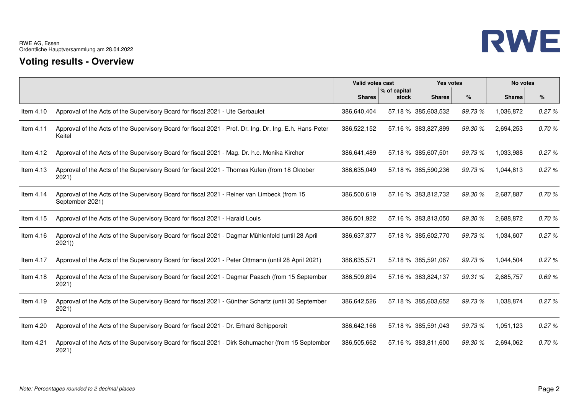

## **Voting results - Overview**

|             |                                                                                                                   | Valid votes cast |                       | Yes votes           |         | No votes      |       |
|-------------|-------------------------------------------------------------------------------------------------------------------|------------------|-----------------------|---------------------|---------|---------------|-------|
|             |                                                                                                                   | <b>Shares</b>    | % of capital<br>stock | <b>Shares</b>       | %       | <b>Shares</b> | $\%$  |
| Item 4.10   | Approval of the Acts of the Supervisory Board for fiscal 2021 - Ute Gerbaulet                                     | 386,640,404      |                       | 57.18 % 385,603,532 | 99.73%  | 1,036,872     | 0.27% |
| Item 4.11   | Approval of the Acts of the Supervisory Board for fiscal 2021 - Prof. Dr. Ing. Dr. Ing. E.h. Hans-Peter<br>Keitel | 386,522,152      |                       | 57.16 % 383,827,899 | 99.30 % | 2,694,253     | 0.70% |
| Item 4.12   | Approval of the Acts of the Supervisory Board for fiscal 2021 - Mag. Dr. h.c. Monika Kircher                      | 386,641,489      |                       | 57.18 % 385,607,501 | 99.73 % | 1,033,988     | 0.27% |
| Item 4.13   | Approval of the Acts of the Supervisory Board for fiscal 2021 - Thomas Kufen (from 18 Oktober<br>2021)            | 386,635,049      |                       | 57.18 % 385,590,236 | 99.73 % | 1,044,813     | 0.27% |
| Item $4.14$ | Approval of the Acts of the Supervisory Board for fiscal 2021 - Reiner van Limbeck (from 15<br>September 2021)    | 386,500,619      |                       | 57.16 % 383,812,732 | 99.30 % | 2,687,887     | 0.70% |
| Item 4.15   | Approval of the Acts of the Supervisory Board for fiscal 2021 - Harald Louis                                      | 386,501,922      |                       | 57.16 % 383,813,050 | 99.30 % | 2,688,872     | 0.70% |
| Item 4.16   | Approval of the Acts of the Supervisory Board for fiscal 2021 - Dagmar Mühlenfeld (until 28 April<br>2021)        | 386,637,377      |                       | 57.18 % 385,602,770 | 99.73 % | 1,034,607     | 0.27% |
| Item $4.17$ | Approval of the Acts of the Supervisory Board for fiscal 2021 - Peter Ottmann (until 28 April 2021)               | 386,635,571      |                       | 57.18 % 385,591,067 | 99.73 % | 1,044,504     | 0.27% |
| Item $4.18$ | Approval of the Acts of the Supervisory Board for fiscal 2021 - Dagmar Paasch (from 15 September<br>2021)         | 386,509,894      |                       | 57.16 % 383,824,137 | 99.31 % | 2,685,757     | 0.69% |
| Item 4.19   | Approval of the Acts of the Supervisory Board for fiscal 2021 - Günther Schartz (until 30 September<br>2021)      | 386,642,526      |                       | 57.18 % 385,603,652 | 99.73 % | 1,038,874     | 0.27% |
| Item 4.20   | Approval of the Acts of the Supervisory Board for fiscal 2021 - Dr. Erhard Schipporeit                            | 386,642,166      |                       | 57.18 % 385,591,043 | 99.73%  | 1,051,123     | 0.27% |
| Item 4.21   | Approval of the Acts of the Supervisory Board for fiscal 2021 - Dirk Schumacher (from 15 September<br>2021)       | 386,505,662      |                       | 57.16 % 383,811,600 | 99.30 % | 2,694,062     | 0.70% |